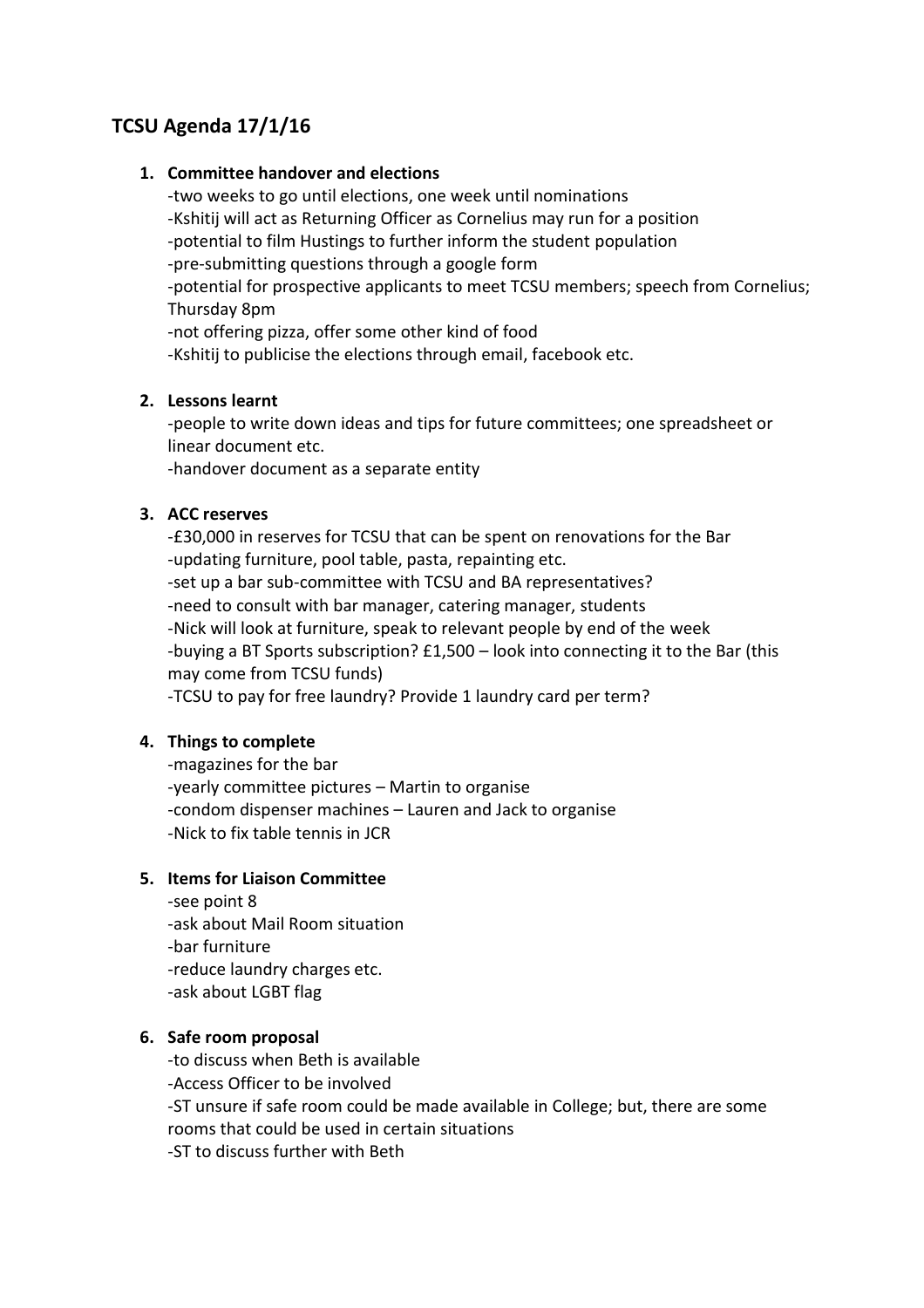# **TCSU Agenda 17/1/16**

#### **1. Committee handover and elections**

-two weeks to go until elections, one week until nominations -Kshitij will act as Returning Officer as Cornelius may run for a position -potential to film Hustings to further inform the student population -pre-submitting questions through a google form -potential for prospective applicants to meet TCSU members; speech from Cornelius; Thursday 8pm

-not offering pizza, offer some other kind of food

-Kshitij to publicise the elections through email, facebook etc.

### **2. Lessons learnt**

-people to write down ideas and tips for future committees; one spreadsheet or linear document etc.

-handover document as a separate entity

#### **3. ACC reserves**

-£30,000 in reserves for TCSU that can be spent on renovations for the Bar -updating furniture, pool table, pasta, repainting etc. -set up a bar sub-committee with TCSU and BA representatives? -need to consult with bar manager, catering manager, students -Nick will look at furniture, speak to relevant people by end of the week -buying a BT Sports subscription? £1,500 – look into connecting it to the Bar (this may come from TCSU funds)

-TCSU to pay for free laundry? Provide 1 laundry card per term?

## **4. Things to complete**

-magazines for the bar -yearly committee pictures – Martin to organise -condom dispenser machines – Lauren and Jack to organise -Nick to fix table tennis in JCR

## **5. Items for Liaison Committee**

-see point 8 -ask about Mail Room situation -bar furniture -reduce laundry charges etc. -ask about LGBT flag

## **6. Safe room proposal**

-to discuss when Beth is available -Access Officer to be involved -ST unsure if safe room could be made available in College; but, there are some rooms that could be used in certain situations -ST to discuss further with Beth